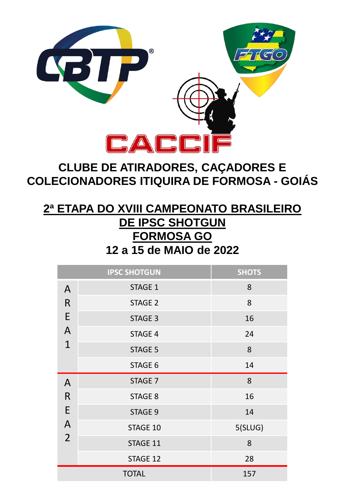

# **CLUBE DE ATIRADORES, CAÇADORES E COLECIONADORES ITIQUIRA DE FORMOSA - GOIÁS**

## **2ª ETAPA DO XVIII CAMPEONATO BRASILEIRO DE IPSC SHOTGUN FORMOSA GO 12 a 15 de MAIO de 2022**

|                                                          | <b>IPSC SHOTGUN</b> | <b>SHOTS</b> |
|----------------------------------------------------------|---------------------|--------------|
| A<br>$\mathsf{R}$<br>E<br>$\overline{A}$<br>$\mathbf{1}$ | STAGE 1             | 8            |
|                                                          | <b>STAGE 2</b>      | 8            |
|                                                          | <b>STAGE 3</b>      | 16           |
|                                                          | <b>STAGE 4</b>      | 24           |
|                                                          | <b>STAGE 5</b>      | 8            |
|                                                          | STAGE 6             | 14           |
| A                                                        |                     |              |
|                                                          | STAGE 7             | 8            |
| R                                                        | STAGE 8             | 16           |
| E                                                        | STAGE 9             | 14           |
| A                                                        | STAGE 10            | 5(SLUG)      |
| $\overline{2}$                                           | STAGE 11            | 8            |
|                                                          | STAGE 12            | 28           |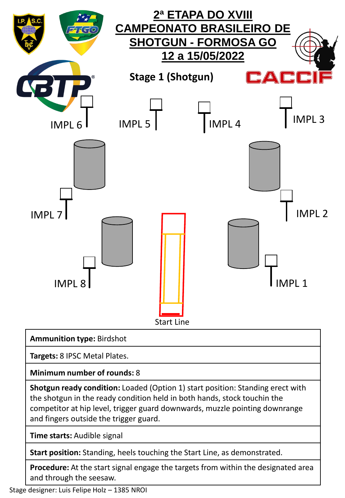

**Targets:** 8 IPSC Metal Plates.

**Minimum number of rounds:** 8

**Shotgun ready condition:** Loaded (Option 1) start position: Standing erect with the shotgun in the ready condition held in both hands, stock touchin the competitor at hip level, trigger guard downwards, muzzle pointing downrange and fingers outside the trigger guard.

**Time starts:** Audible signal

**Start position:** Standing, heels touching the Start Line, as demonstrated.

**Procedure:** At the start signal engage the targets from within the designated area and through the seesaw.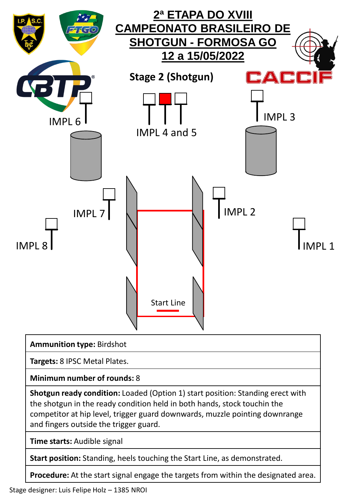

**Targets:** 8 IPSC Metal Plates.

**Minimum number of rounds:** 8

**Shotgun ready condition:** Loaded (Option 1) start position: Standing erect with the shotgun in the ready condition held in both hands, stock touchin the competitor at hip level, trigger guard downwards, muzzle pointing downrange and fingers outside the trigger guard.

**Time starts:** Audible signal

**Start position:** Standing, heels touching the Start Line, as demonstrated.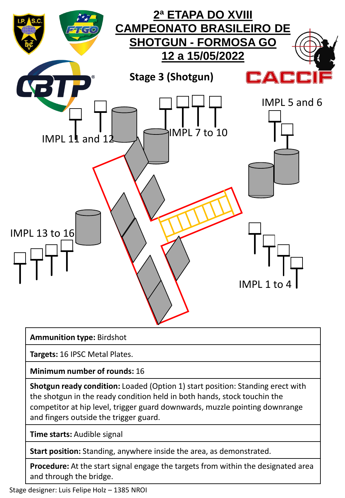

**Targets:** 16 IPSC Metal Plates.

**Minimum number of rounds:** 16

**Shotgun ready condition:** Loaded (Option 1) start position: Standing erect with the shotgun in the ready condition held in both hands, stock touchin the competitor at hip level, trigger guard downwards, muzzle pointing downrange and fingers outside the trigger guard.

**Time starts:** Audible signal

**Start position:** Standing, anywhere inside the area, as demonstrated.

**Procedure:** At the start signal engage the targets from within the designated area and through the bridge.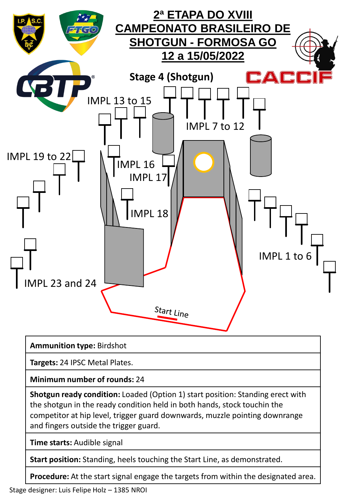

**Targets:** 24 IPSC Metal Plates.

**Minimum number of rounds:** 24

**Shotgun ready condition:** Loaded (Option 1) start position: Standing erect with the shotgun in the ready condition held in both hands, stock touchin the competitor at hip level, trigger guard downwards, muzzle pointing downrange and fingers outside the trigger guard.

**Time starts:** Audible signal

**Start position:** Standing, heels touching the Start Line, as demonstrated.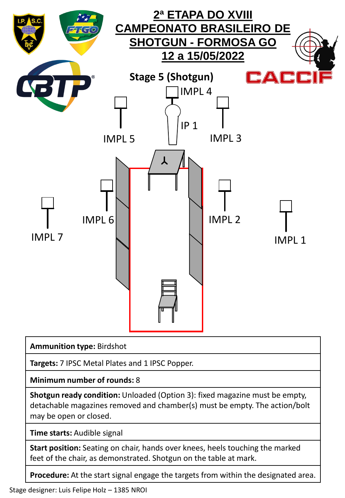

**Targets:** 7 IPSC Metal Plates and 1 IPSC Popper.

**Minimum number of rounds:** 8

**Shotgun ready condition:** Unloaded (Option 3): fixed magazine must be empty, detachable magazines removed and chamber(s) must be empty. The action/bolt may be open or closed.

**Time starts:** Audible signal

**Start position:** Seating on chair, hands over knees, heels touching the marked feet of the chair, as demonstrated. Shotgun on the table at mark.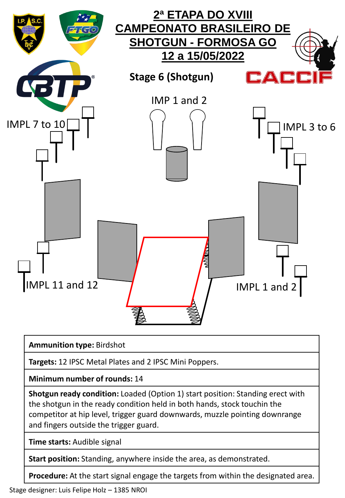

**Targets:** 12 IPSC Metal Plates and 2 IPSC Mini Poppers.

**Minimum number of rounds:** 14

**Shotgun ready condition:** Loaded (Option 1) start position: Standing erect with the shotgun in the ready condition held in both hands, stock touchin the competitor at hip level, trigger guard downwards, muzzle pointing downrange and fingers outside the trigger guard.

**Time starts:** Audible signal

**Start position:** Standing, anywhere inside the area, as demonstrated.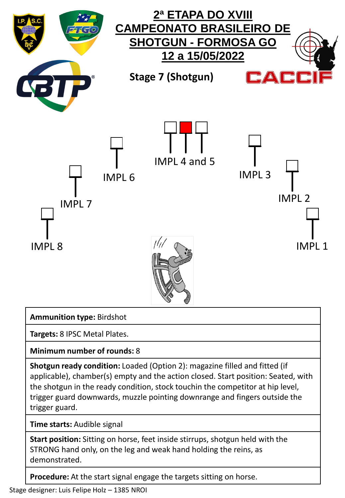

**Targets:** 8 IPSC Metal Plates.

**Minimum number of rounds:** 8

**Shotgun ready condition:** Loaded (Option 2): magazine filled and fitted (if applicable), chamber(s) empty and the action closed. Start position: Seated, with the shotgun in the ready condition, stock touchin the competitor at hip level, trigger guard downwards, muzzle pointing downrange and fingers outside the trigger guard.

**Time starts:** Audible signal

**Start position:** Sitting on horse, feet inside stirrups, shotgun held with the STRONG hand only, on the leg and weak hand holding the reins, as demonstrated.

**Procedure:** At the start signal engage the targets sitting on horse.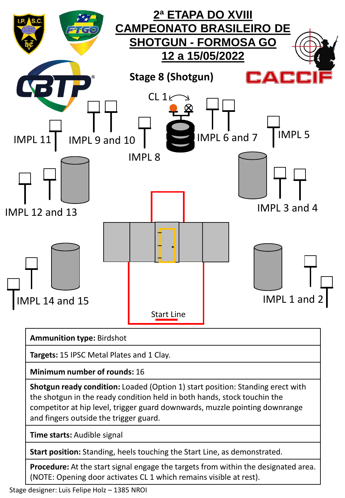

**Procedure:** At the start signal engage the targets from within the designated area. (NOTE: Opening door activates CL 1 which remains visible at rest).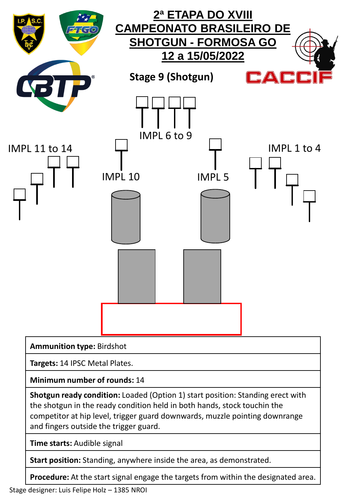

**Minimum number of rounds:** 14

**Shotgun ready condition:** Loaded (Option 1) start position: Standing erect with the shotgun in the ready condition held in both hands, stock touchin the competitor at hip level, trigger guard downwards, muzzle pointing downrange and fingers outside the trigger guard.

**Time starts:** Audible signal

**Start position:** Standing, anywhere inside the area, as demonstrated.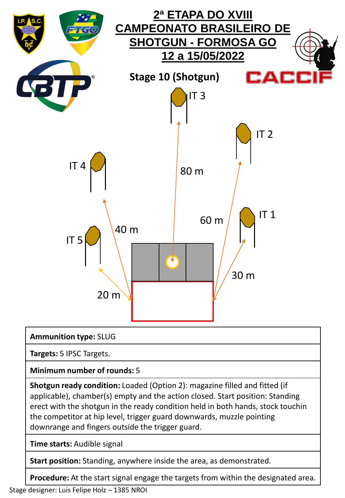

## **Ammunition type:** SLUG

**Targets:** 5 IPSC Targets.

**Minimum number of rounds:** 5

**Shotgun ready condition:** Loaded (Option 2): magazine filled and fitted (if applicable), chamber(s) empty and the action closed. Start position: Standing erect with the shotgun in the ready condition held in both hands, stock touchin the competitor at hip level, trigger guard downwards, muzzle pointing downrange and fingers outside the trigger guard.

**Time starts:** Audible signal

**Start position:** Standing, anywhere inside the area, as demonstrated.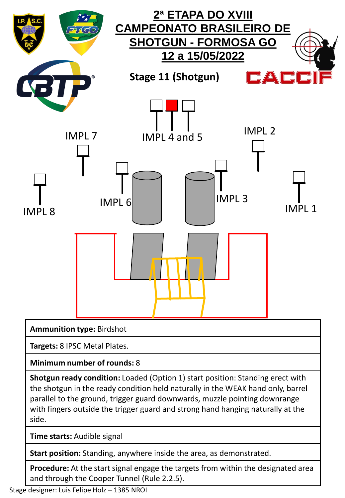

**Time starts:** Audible signal

**Start position:** Standing, anywhere inside the area, as demonstrated.

**Procedure:** At the start signal engage the targets from within the designated area and through the Cooper Tunnel (Rule 2.2.5).